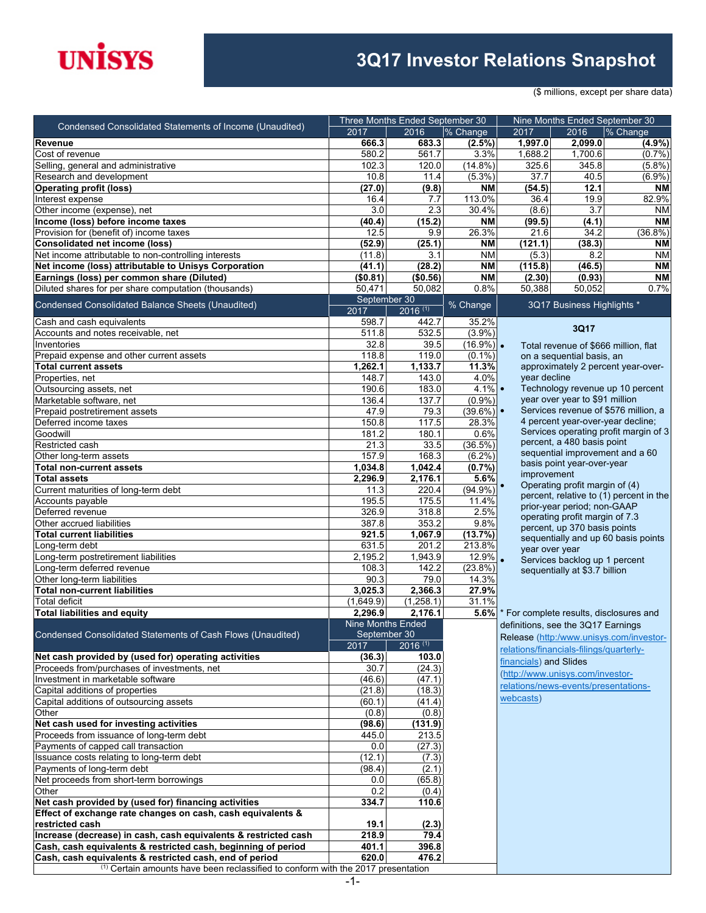# **UNISYS**

### **3Q17 Investor Relations Snapshot**

(\$ millions, except per share data)

| Condensed Consolidated Statements of Income (Unaudited)                                                                  |                          | Three Months Ended September 30 |                         | Nine Months Ended September 30          |                                         |                                         |  |
|--------------------------------------------------------------------------------------------------------------------------|--------------------------|---------------------------------|-------------------------|-----------------------------------------|-----------------------------------------|-----------------------------------------|--|
|                                                                                                                          | 2017                     | 2016                            | % Change                | 2017                                    | 2016                                    | % Change                                |  |
| Revenue                                                                                                                  | 666.3                    | 683.3                           | $(2.5\%)$               | 1,997.0                                 | 2,099.0                                 | (4.9%)                                  |  |
| Cost of revenue                                                                                                          | 580.2                    | 561.7                           | 3.3%                    | 1,688.2                                 | 1,700.6                                 | (0.7%                                   |  |
| Selling, general and administrative<br>Research and development                                                          | 102.3<br>10.8            | 120.0<br>11.4                   | $(14.8\%)$<br>$(5.3\%)$ | 325.6<br>37.7                           | 345.8<br>40.5                           | (5.8%)<br>(6.9%)                        |  |
| <b>Operating profit (loss)</b>                                                                                           | (27.0)                   | (9.8)                           | <b>NM</b>               | (54.5)                                  | 12.1                                    | <b>NM</b>                               |  |
| Interest expense                                                                                                         | 16.4                     | 7.7                             | 113.0%                  | 36.4                                    | 19.9                                    | 82.9%                                   |  |
| Other income (expense), net                                                                                              | 3.0                      | 2.3                             | 30.4%                   | (8.6)                                   | $\overline{3.7}$                        | <b>NM</b>                               |  |
| Income (loss) before income taxes                                                                                        | (40.4)                   | (15.2)                          | <b>NM</b>               | (99.5)                                  | (4.1)                                   | <b>NM</b>                               |  |
| Provision for (benefit of) income taxes                                                                                  | 12.5                     | 9.9                             | 26.3%                   | 21.6                                    | 34.2                                    | $(36.8\%)$                              |  |
| <b>Consolidated net income (loss)</b>                                                                                    | (52.9)                   | (25.1)                          | <b>NM</b>               | (121.1)                                 | (38.3)                                  | <b>NM</b>                               |  |
| Net income attributable to non-controlling interests                                                                     | (11.8)                   | 3.1                             | <b>NM</b>               | (5.3)                                   | 8.2                                     | ΝM                                      |  |
| Net income (loss) attributable to Unisys Corporation                                                                     | (41.1)                   | (28.2)                          | <b>NM</b>               | (115.8)                                 | (46.5)                                  | <b>NM</b>                               |  |
| Earnings (loss) per common share (Diluted)                                                                               | (\$0.81)                 | (\$0.56)                        | <b>NM</b>               | (2.30)                                  | (0.93)                                  | <b>NM</b>                               |  |
| Diluted shares for per share computation (thousands)                                                                     | 50,471                   | 50,082                          | 0.8%                    | 50,388                                  | 50,052                                  | 0.7%                                    |  |
| Condensed Consolidated Balance Sheets (Unaudited)                                                                        | September 30<br>2017     | $2016^{(1)}$                    | % Change                |                                         | 3Q17 Business Highlights *              |                                         |  |
| Cash and cash equivalents                                                                                                | 598.7                    | 442.7                           | 35.2%                   |                                         |                                         |                                         |  |
| Accounts and notes receivable, net                                                                                       | 511.8                    | 532.5                           | $(3.9\%)$               |                                         | 3Q17                                    |                                         |  |
| Inventories                                                                                                              | 32.8                     | 39.5                            | $(16.9\%)$ .            |                                         |                                         | Total revenue of \$666 million, flat    |  |
| Prepaid expense and other current assets                                                                                 | 118.8                    | 119.0                           | $(0.1\%)$               |                                         | on a sequential basis, an               |                                         |  |
| <b>Total current assets</b>                                                                                              | 1,262.1                  | 1,133.7                         | 11.3%                   |                                         |                                         | approximately 2 percent year-over-      |  |
| Properties, net                                                                                                          | 148.7                    | 143.0                           | 4.0%                    | year decline                            |                                         |                                         |  |
| Outsourcing assets, net                                                                                                  | 190.6                    | 183.0                           | $4.1\%$                 |                                         | year over year to \$91 million          | Technology revenue up 10 percent        |  |
| Marketable software, net                                                                                                 | 136.4<br>47.9            | 137.7                           | (0.9%                   |                                         |                                         | Services revenue of \$576 million, a    |  |
| Prepaid postretirement assets<br>Deferred income taxes                                                                   | 150.8                    | 79.3<br>117.5                   | $(39.6\%)$ •<br>28.3%   |                                         | 4 percent year-over-year decline;       |                                         |  |
| Goodwill                                                                                                                 | 181.2                    | 180.1                           | 0.6%                    |                                         |                                         | Services operating profit margin of 3   |  |
| Restricted cash                                                                                                          | 21.3                     | 33.5                            | (36.5%)                 |                                         | percent, a 480 basis point              |                                         |  |
| Other long-term assets                                                                                                   | 157.9                    | 168.3                           | $(6.2\%)$               |                                         |                                         | sequential improvement and a 60         |  |
| <b>Total non-current assets</b>                                                                                          | 1,034.8                  | 1,042.4                         | (0.7%                   |                                         | basis point year-over-year              |                                         |  |
| <b>Total assets</b>                                                                                                      | 2,296.9                  | 2,176.1                         | 5.6%                    | improvement                             |                                         |                                         |  |
| Current maturities of long-term debt                                                                                     | 11.3                     | 220.4                           | $(94.9\%)$              |                                         | Operating profit margin of (4)          |                                         |  |
| Accounts payable                                                                                                         | 195.5                    | 175.5                           | 11.4%                   |                                         | prior-year period; non-GAAP             | percent, relative to (1) percent in the |  |
| Deferred revenue                                                                                                         | 326.9                    | 318.8                           | 2.5%                    |                                         | operating profit margin of 7.3          |                                         |  |
| Other accrued liabilities                                                                                                | 387.8                    | 353.2                           | 9.8%                    |                                         | percent, up 370 basis points            |                                         |  |
| <b>Total current liabilities</b>                                                                                         | 921.5                    | 1,067.9                         | (13.7%)                 |                                         |                                         | sequentially and up 60 basis points     |  |
| _ong-term debt                                                                                                           | 631.5                    | 201.2                           | 213.8%                  |                                         | year over year                          |                                         |  |
| ong-term postretirement liabilities                                                                                      | 2,195.2                  | 1,943.9                         | 12.9%                   |                                         | Services backlog up 1 percent           |                                         |  |
| Long-term deferred revenue<br>Other long-term liabilities                                                                | 108.3<br>90.3            | 142.2<br>79.0                   | (23.8%)<br>14.3%        |                                         | sequentially at \$3.7 billion           |                                         |  |
| <b>Total non-current liabilities</b>                                                                                     | 3,025.3                  | 2,366.3                         | 27.9%                   |                                         |                                         |                                         |  |
| <b>Total deficit</b>                                                                                                     | (1,649.9)                | (1,258.1)                       | 31.1%                   |                                         |                                         |                                         |  |
| <b>Total liabilities and equity</b>                                                                                      | 2.296.9                  | 2,176.1                         | 5.6%                    |                                         |                                         | * For complete results, disclosures and |  |
|                                                                                                                          | <b>Nine Months Ended</b> |                                 |                         |                                         | definitions, see the 3Q17 Earnings      |                                         |  |
| Condensed Consolidated Statements of Cash Flows (Unaudited)                                                              | September 30             |                                 |                         | Release (http:/www.unisys.com/investor- |                                         |                                         |  |
|                                                                                                                          | 2017                     | $2016^{(1)}$                    |                         |                                         | relations/financials-filings/quarterly- |                                         |  |
| Net cash provided by (used for) operating activities                                                                     | (36.3)                   | 103.0                           |                         | financials) and Slides                  |                                         |                                         |  |
| Proceeds from/purchases of investments, net                                                                              | 30.7                     | (24.3)                          |                         |                                         | (http://www.unisys.com/investor-        |                                         |  |
| Investment in marketable software                                                                                        | (46.6)                   | (47.1)                          |                         |                                         | relations/news-events/presentations-    |                                         |  |
| Capital additions of properties                                                                                          | (21.8)                   | (18.3)                          |                         | webcasts)                               |                                         |                                         |  |
| Capital additions of outsourcing assets<br>Other                                                                         | (60.1)<br>(0.8)          | (41.4)<br>(0.8)                 |                         |                                         |                                         |                                         |  |
| Net cash used for investing activities                                                                                   | (98.6)                   | (131.9)                         |                         |                                         |                                         |                                         |  |
| Proceeds from issuance of long-term debt                                                                                 | 445.0                    | 213.5                           |                         |                                         |                                         |                                         |  |
| Payments of capped call transaction                                                                                      | 0.0                      | (27.3)                          |                         |                                         |                                         |                                         |  |
| Issuance costs relating to long-term debt                                                                                | (12.1)                   | (7.3)                           |                         |                                         |                                         |                                         |  |
| Payments of long-term debt                                                                                               | (98.4)                   | (2.1)                           |                         |                                         |                                         |                                         |  |
| Net proceeds from short-term borrowings                                                                                  | 0.0                      | (65.8)                          |                         |                                         |                                         |                                         |  |
| Other                                                                                                                    | 0.2                      | (0.4)                           |                         |                                         |                                         |                                         |  |
| Net cash provided by (used for) financing activities                                                                     | 334.7                    | 110.6                           |                         |                                         |                                         |                                         |  |
| Effect of exchange rate changes on cash, cash equivalents &                                                              |                          |                                 |                         |                                         |                                         |                                         |  |
| restricted cash                                                                                                          | 19.1                     | (2.3)                           |                         |                                         |                                         |                                         |  |
| Increase (decrease) in cash, cash equivalents & restricted cash                                                          | 218.9<br>401.1           | 79.4<br>396.8                   |                         |                                         |                                         |                                         |  |
| Cash, cash equivalents & restricted cash, beginning of period<br>Cash, cash equivalents & restricted cash, end of period | 620.0                    | 476.2                           |                         |                                         |                                         |                                         |  |
| <sup>(1)</sup> Certain amounts have been reclassified to conform with the 2017 presentation                              |                          |                                 |                         |                                         |                                         |                                         |  |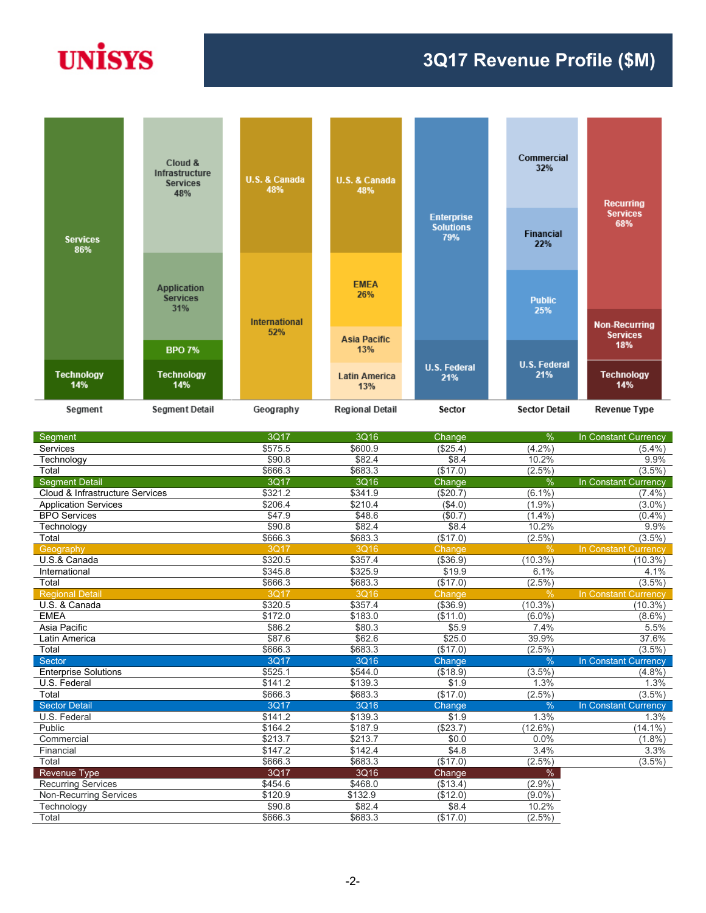# **UNISYS**

#### **3Q17 Revenue Profile (\$M)**



| Segment                         | 3Q17    | 3Q16    | Change   | $\frac{9}{6}$ | In Constant Currency |
|---------------------------------|---------|---------|----------|---------------|----------------------|
| Services                        | \$575.5 | \$600.9 | (\$25.4) | $(4.2\%)$     | $(5.4\%)$            |
| Technology                      | \$90.8  | \$82.4  | \$8.4    | 10.2%         | 9.9%                 |
| Total                           | \$666.3 | \$683.3 | (\$17.0) | $(2.5\%)$     | $(3.5\%)$            |
| <b>Segment Detail</b>           | 3Q17    | 3Q16    | Change   | $\frac{0}{0}$ | In Constant Currency |
| Cloud & Infrastructure Services | \$321.2 | \$341.9 | (\$20.7) | $(6.1\%)$     | $(7.4\%)$            |
| <b>Application Services</b>     | \$206.4 | \$210.4 | (\$4.0)  | (1.9%         | $(3.0\%)$            |
| <b>BPO Services</b>             | \$47.9  | \$48.6  | (\$0.7)  | $(1.4\%)$     | (0.4%                |
| Technology                      | \$90.8  | \$82.4  | \$8.4    | 10.2%         | 9.9%                 |
| Total                           | \$666.3 | \$683.3 | (\$17.0) | $(2.5\%)$     | $(3.5\%)$            |
| Geography                       | 3Q17    | 3Q16    | Change   | $\%$          | In Constant Currency |
| U.S.& Canada                    | \$320.5 | \$357.4 | (\$36.9) | $(10.3\%)$    | $(10.3\%)$           |
| International                   | \$345.8 | \$325.9 | \$19.9   | 6.1%          | 4.1%                 |
| Total                           | \$666.3 | \$683.3 | (\$17.0) | $(2.5\%)$     | $(3.5\%)$            |
| <b>Regional Detail</b>          | 3Q17    | 3Q16    | Change   | $\frac{0}{0}$ | In Constant Currency |
| U.S. & Canada                   | \$320.5 | \$357.4 | (\$36.9) | $(10.3\%)$    | $(10.3\%)$           |
| <b>EMEA</b>                     | \$172.0 | \$183.0 | (\$11.0) | $(6.0\%)$     | $(8.6\%)$            |
| Asia Pacific                    | \$86.2  | \$80.3  | \$5.9    | 7.4%          | 5.5%                 |
| Latin America                   | \$87.6  | \$62.6  | \$25.0   | 39.9%         | 37.6%                |
| Total                           | \$666.3 | \$683.3 | (\$17.0) | $(2.5\%)$     | $(3.5\%)$            |
| Sector                          | 3Q17    | 3Q16    | Change   | $\frac{0}{0}$ | In Constant Currency |
| <b>Enterprise Solutions</b>     | \$525.1 | \$544.0 | (\$18.9) | (3.5%)        | $(4.8\%)$            |
| U.S. Federal                    | \$141.2 | \$139.3 | \$1.9    | 1.3%          | 1.3%                 |
| Total                           | \$666.3 | \$683.3 | (\$17.0) | $(2.5\%)$     | $(3.5\%)$            |
| <b>Sector Detail</b>            | 3Q17    | 3Q16    | Change   | $\frac{0}{6}$ | In Constant Currency |
| U.S. Federal                    | \$141.2 | \$139.3 | \$1.9    | 1.3%          | 1.3%                 |
| Public                          | \$164.2 | \$187.9 | (\$23.7) | (12.6%)       | $(14.1\%)$           |
| Commercial                      | \$213.7 | \$213.7 | \$0.0    | 0.0%          | $(1.8\%)$            |
| Financial                       | \$147.2 | \$142.4 | \$4.8    | 3.4%          | 3.3%                 |
| Total                           | \$666.3 | \$683.3 | (\$17.0) | $(2.5\%)$     | $(3.5\%)$            |
| <b>Revenue Type</b>             | 3Q17    | 3Q16    | Change   | %             |                      |
| Recurring Services              | \$454.6 | \$468.0 | (\$13.4) | $(2.9\%)$     |                      |
| <b>Non-Recurring Services</b>   | \$120.9 | \$132.9 | (\$12.0) | $(9.0\%)$     |                      |
| Technology                      | \$90.8  | \$82.4  | \$8.4    | 10.2%         |                      |
| Total                           | \$666.3 | \$683.3 | (\$17.0) | $(2.5\%)$     |                      |